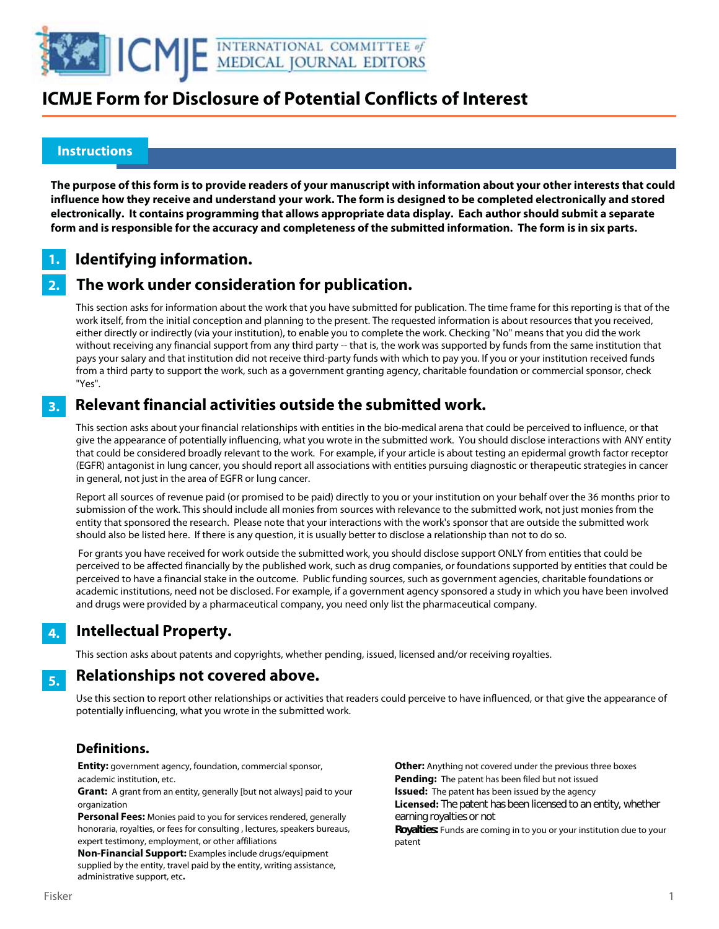

## **ICMJE Form for Disclosure of Potential Conflicts of Interest**

### **Instructions**

l

**The purpose of this form is to provide readers of your manuscript with information about your other interests that could influence how they receive and understand your work. The form is designed to be completed electronically and stored electronically. It contains programming that allows appropriate data display. Each author should submit a separate form and is responsible for the accuracy and completeness of the submitted information. The form is in six parts.** 

### **Identifying information. 1.**

#### **The work under consideration for publication. 2.**

This section asks for information about the work that you have submitted for publication. The time frame for this reporting is that of the work itself, from the initial conception and planning to the present. The requested information is about resources that you received, either directly or indirectly (via your institution), to enable you to complete the work. Checking "No" means that you did the work without receiving any financial support from any third party -- that is, the work was supported by funds from the same institution that pays your salary and that institution did not receive third-party funds with which to pay you. If you or your institution received funds from a third party to support the work, such as a government granting agency, charitable foundation or commercial sponsor, check "Yes".

#### **Relevant financial activities outside the submitted work. 3.**

This section asks about your financial relationships with entities in the bio-medical arena that could be perceived to influence, or that give the appearance of potentially influencing, what you wrote in the submitted work. You should disclose interactions with ANY entity that could be considered broadly relevant to the work. For example, if your article is about testing an epidermal growth factor receptor (EGFR) antagonist in lung cancer, you should report all associations with entities pursuing diagnostic or therapeutic strategies in cancer in general, not just in the area of EGFR or lung cancer.

Report all sources of revenue paid (or promised to be paid) directly to you or your institution on your behalf over the 36 months prior to submission of the work. This should include all monies from sources with relevance to the submitted work, not just monies from the entity that sponsored the research. Please note that your interactions with the work's sponsor that are outside the submitted work should also be listed here. If there is any question, it is usually better to disclose a relationship than not to do so.

 For grants you have received for work outside the submitted work, you should disclose support ONLY from entities that could be perceived to be affected financially by the published work, such as drug companies, or foundations supported by entities that could be perceived to have a financial stake in the outcome. Public funding sources, such as government agencies, charitable foundations or academic institutions, need not be disclosed. For example, if a government agency sponsored a study in which you have been involved and drugs were provided by a pharmaceutical company, you need only list the pharmaceutical company.

#### **Intellectual Property. 4.**

This section asks about patents and copyrights, whether pending, issued, licensed and/or receiving royalties.

#### **Relationships not covered above. 5.**

Use this section to report other relationships or activities that readers could perceive to have influenced, or that give the appearance of potentially influencing, what you wrote in the submitted work.

### **Definitions.**

**Entity:** government agency, foundation, commercial sponsor, academic institution, etc.

**Grant:** A grant from an entity, generally [but not always] paid to your organization

**Personal Fees:** Monies paid to you for services rendered, generally honoraria, royalties, or fees for consulting , lectures, speakers bureaus, expert testimony, employment, or other affiliations

**Non-Financial Support:** Examples include drugs/equipment supplied by the entity, travel paid by the entity, writing assistance, administrative support, etc**.**

**Other:** Anything not covered under the previous three boxes **Pending:** The patent has been filed but not issued **Issued:** The patent has been issued by the agency **Licensed:** The patent has been licensed to an entity, whether earning royalties or not **Royalties:** Funds are coming in to you or your institution due to your

patent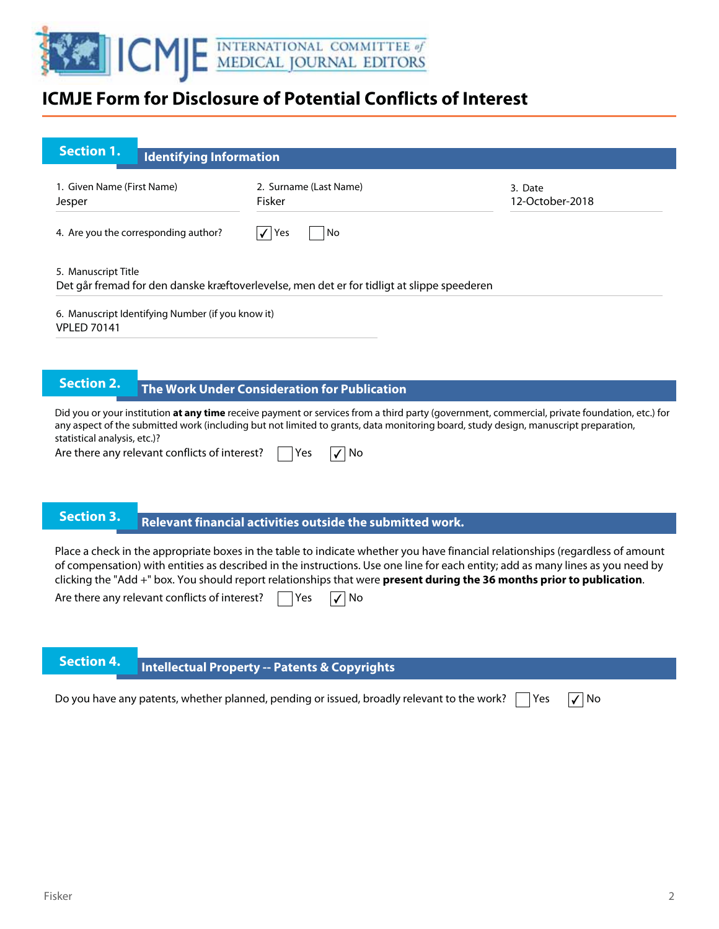

# **ICMJE Form for Disclosure of Potential Conflicts of Interest**

| <b>Section 1.</b>                                                                                                                                                                                                                                      | <b>Identifying Information</b>                |                                  |    |                            |                                                                                                                                                                                                                                                                                      |  |  |  |
|--------------------------------------------------------------------------------------------------------------------------------------------------------------------------------------------------------------------------------------------------------|-----------------------------------------------|----------------------------------|----|----------------------------|--------------------------------------------------------------------------------------------------------------------------------------------------------------------------------------------------------------------------------------------------------------------------------------|--|--|--|
| 1. Given Name (First Name)<br>Jesper<br>4. Are you the corresponding author?<br>5. Manuscript Title<br>Det går fremad for den danske kræftoverlevelse, men det er for tidligt at slippe speederen<br>6. Manuscript Identifying Number (if you know it) |                                               | 2. Surname (Last Name)<br>Fisker |    | 3. Date<br>12-October-2018 |                                                                                                                                                                                                                                                                                      |  |  |  |
|                                                                                                                                                                                                                                                        |                                               | Yes                              | No |                            |                                                                                                                                                                                                                                                                                      |  |  |  |
|                                                                                                                                                                                                                                                        |                                               |                                  |    |                            |                                                                                                                                                                                                                                                                                      |  |  |  |
| <b>VPLED 70141</b>                                                                                                                                                                                                                                     |                                               |                                  |    |                            |                                                                                                                                                                                                                                                                                      |  |  |  |
| <b>Section 2.</b>                                                                                                                                                                                                                                      |                                               |                                  |    |                            |                                                                                                                                                                                                                                                                                      |  |  |  |
| <b>The Work Under Consideration for Publication</b>                                                                                                                                                                                                    |                                               |                                  |    |                            |                                                                                                                                                                                                                                                                                      |  |  |  |
| statistical analysis, etc.)?                                                                                                                                                                                                                           | Are there any relevant conflicts of interest? | Yes                              | No |                            | Did you or your institution at any time receive payment or services from a third party (government, commercial, private foundation, etc.) for<br>any aspect of the submitted work (including but not limited to grants, data monitoring board, study design, manuscript preparation, |  |  |  |

# **Relevant financial activities outside the submitted work.**

Place a check in the appropriate boxes in the table to indicate whether you have financial relationships (regardless of amount of compensation) with entities as described in the instructions. Use one line for each entity; add as many lines as you need by clicking the "Add +" box. You should report relationships that were **present during the 36 months prior to publication**.

| $\vert\bm\sqrt{}\vert$ No<br>Are there any relevant conflicts of interest? |
|----------------------------------------------------------------------------|
|----------------------------------------------------------------------------|

# **Intellectual Property -- Patents & Copyrights**

| Do you have any patents, whether planned, pending or issued, broadly relevant to the work? $\Box$ Yes $\Box$ No |  |  |  |  |
|-----------------------------------------------------------------------------------------------------------------|--|--|--|--|
|-----------------------------------------------------------------------------------------------------------------|--|--|--|--|